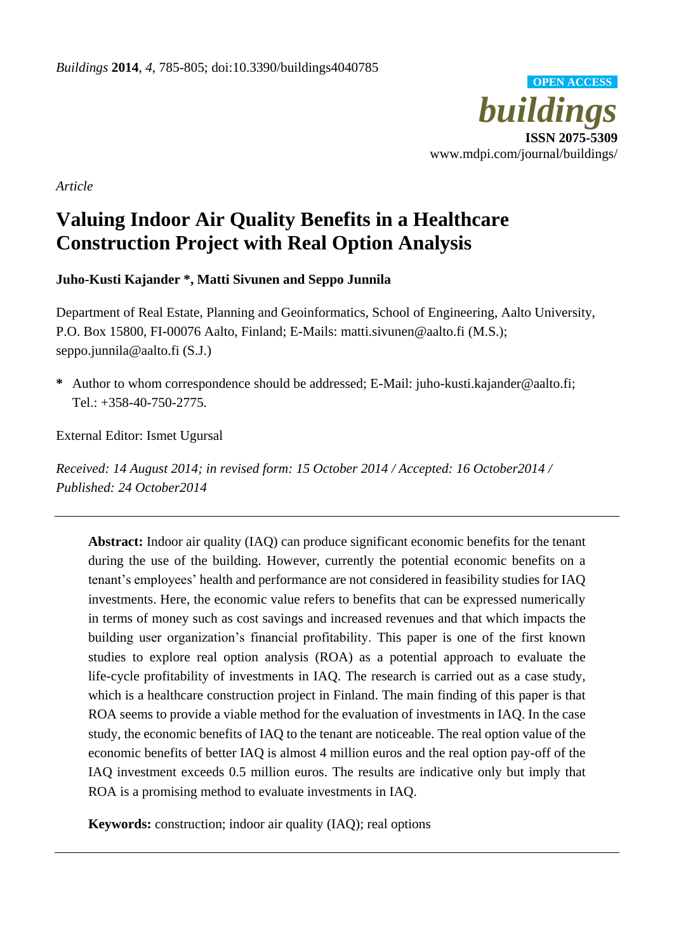

*Article*

# **Valuing Indoor Air Quality Benefits in a Healthcare Construction Project with Real Option Analysis**

**Juho-Kusti Kajander \*, Matti Sivunen and Seppo Junnila**

Department of Real Estate, Planning and Geoinformatics, School of Engineering, Aalto University, P.O. Box 15800, FI-00076 Aalto, Finland; E-Mails: matti.sivunen@aalto.fi (M.S.); seppo.junnila@aalto.fi (S.J.)

**\*** Author to whom correspondence should be addressed; E-Mail: juho-kusti.kajander@aalto.fi; Tel.: +358-40-750-2775.

External Editor: Ismet Ugursal

*Received: 14 August 2014; in revised form: 15 October 2014 / Accepted: 16 October2014 / Published: 24 October2014*

**Abstract:** Indoor air quality (IAQ) can produce significant economic benefits for the tenant during the use of the building. However, currently the potential economic benefits on a tenant's employees' health and performance are not considered in feasibility studies for IAQ investments. Here, the economic value refers to benefits that can be expressed numerically in terms of money such as cost savings and increased revenues and that which impacts the building user organization's financial profitability. This paper is one of the first known studies to explore real option analysis (ROA) as a potential approach to evaluate the life-cycle profitability of investments in IAQ. The research is carried out as a case study, which is a healthcare construction project in Finland. The main finding of this paper is that ROA seems to provide a viable method for the evaluation of investments in IAQ. In the case study, the economic benefits of IAQ to the tenant are noticeable. The real option value of the economic benefits of better IAQ is almost 4 million euros and the real option pay-off of the IAQ investment exceeds 0.5 million euros. The results are indicative only but imply that ROA is a promising method to evaluate investments in IAQ.

**Keywords:** construction; indoor air quality (IAQ); real options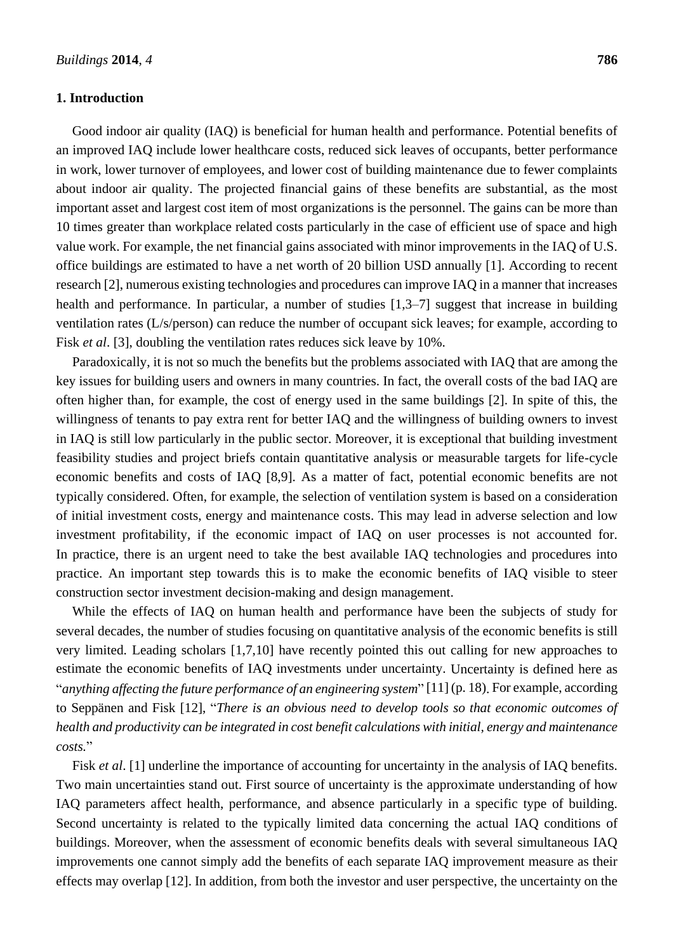## **1. Introduction**

Good indoor air quality (IAQ) is beneficial for human health and performance. Potential benefits of an improved IAQ include lower healthcare costs, reduced sick leaves of occupants, better performance in work, lower turnover of employees, and lower cost of building maintenance due to fewer complaints about indoor air quality. The projected financial gains of these benefits are substantial, as the most important asset and largest cost item of most organizations is the personnel. The gains can be more than 10 times greater than workplace related costs particularly in the case of efficient use of space and high value work. For example, the net financial gains associated with minor improvements in the IAQ of U.S. office buildings are estimated to have a net worth of 20 billion USD annually [1]. According to recent research [2], numerous existing technologies and procedures can improve IAQ in a manner that increases health and performance. In particular, a number of studies [1,3–7] suggest that increase in building ventilation rates (L/s/person) can reduce the number of occupant sick leaves; for example, according to

Paradoxically, it is not so much the benefits but the problems associated with IAQ that are among the key issues for building users and owners in many countries. In fact, the overall costs of the bad IAQ are often higher than, for example, the cost of energy used in the same buildings [2]. In spite of this, the willingness of tenants to pay extra rent for better IAQ and the willingness of building owners to invest in IAQ is still low particularly in the public sector. Moreover, it is exceptional that building investment feasibility studies and project briefs contain quantitative analysis or measurable targets for life-cycle economic benefits and costs of IAQ [8,9]. As a matter of fact, potential economic benefits are not typically considered. Often, for example, the selection of ventilation system is based on a consideration of initial investment costs, energy and maintenance costs. This may lead in adverse selection and low investment profitability, if the economic impact of IAQ on user processes is not accounted for. In practice, there is an urgent need to take the best available IAQ technologies and procedures into practice. An important step towards this is to make the economic benefits of IAQ visible to steer construction sector investment decision-making and design management.

Fisk *et al.* [3], doubling the ventilation rates reduces sick leave by 10%.

While the effects of IAQ on human health and performance have been the subjects of study for several decades, the number of studies focusing on quantitative analysis of the economic benefits is still very limited. Leading scholars [1,7,10] have recently pointed this out calling for new approaches to estimate the economic benefits of IAQ investments under uncertainty. Uncertainty is defined here as "*anything affecting the future performance of an engineering system*" [11] (p. 18). For example, according to Seppänen and Fisk [12], "*There is an obvious need to develop tools so that economic outcomes of health and productivity can be integrated in cost benefit calculations with initial, energy and maintenance costs.*"

Fisk *et al.* [1] underline the importance of accounting for uncertainty in the analysis of IAQ benefits. Two main uncertainties stand out. First source of uncertainty is the approximate understanding of how IAQ parameters affect health, performance, and absence particularly in a specific type of building. Second uncertainty is related to the typically limited data concerning the actual IAQ conditions of buildings. Moreover, when the assessment of economic benefits deals with several simultaneous IAQ improvements one cannot simply add the benefits of each separate IAQ improvement measure as their effects may overlap [12]. In addition, from both the investor and user perspective, the uncertainty on the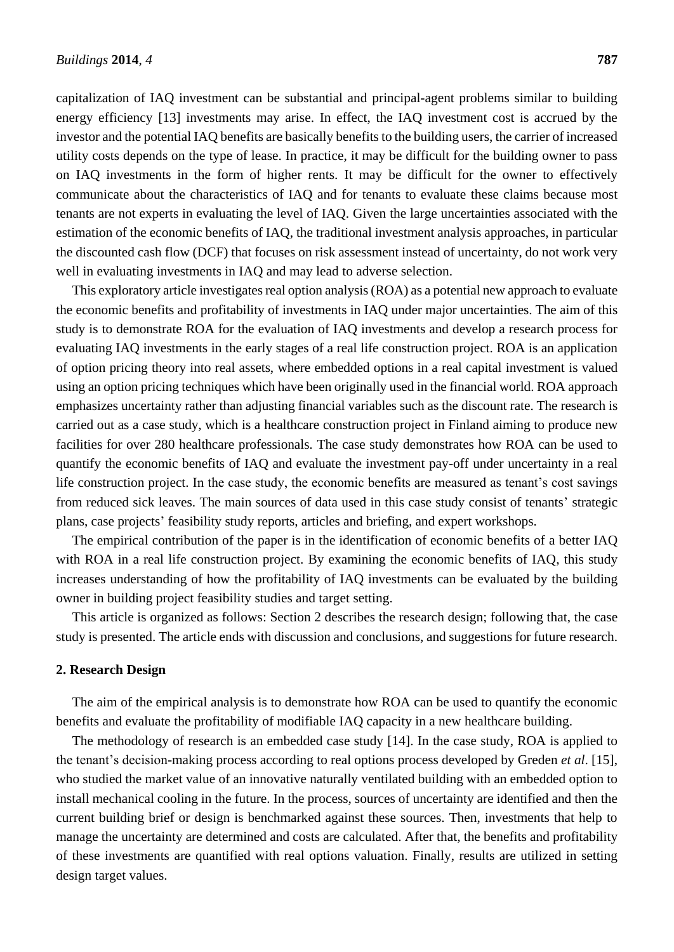capitalization of IAQ investment can be substantial and principal-agent problems similar to building energy efficiency [13] investments may arise. In effect, the IAQ investment cost is accrued by the investor and the potential IAQ benefits are basically benefits to the building users, the carrier of increased utility costs depends on the type of lease. In practice, it may be difficult for the building owner to pass on IAQ investments in the form of higher rents. It may be difficult for the owner to effectively communicate about the characteristics of IAQ and for tenants to evaluate these claims because most tenants are not experts in evaluating the level of IAQ. Given the large uncertainties associated with the estimation of the economic benefits of IAQ, the traditional investment analysis approaches, in particular the discounted cash flow (DCF) that focuses on risk assessment instead of uncertainty, do not work very well in evaluating investments in IAQ and may lead to adverse selection.

This exploratory article investigates real option analysis (ROA) as a potential new approach to evaluate the economic benefits and profitability of investments in IAQ under major uncertainties. The aim of this study is to demonstrate ROA for the evaluation of IAQ investments and develop a research process for evaluating IAQ investments in the early stages of a real life construction project. ROA is an application of option pricing theory into real assets, where embedded options in a real capital investment is valued using an option pricing techniques which have been originally used in the financial world. ROA approach emphasizes uncertainty rather than adjusting financial variables such as the discount rate. The research is carried out as a case study, which is a healthcare construction project in Finland aiming to produce new facilities for over 280 healthcare professionals. The case study demonstrates how ROA can be used to quantify the economic benefits of IAQ and evaluate the investment pay-off under uncertainty in a real life construction project. In the case study, the economic benefits are measured as tenant's cost savings from reduced sick leaves. The main sources of data used in this case study consist of tenants' strategic plans, case projects' feasibility study reports, articles and briefing, and expert workshops.

The empirical contribution of the paper is in the identification of economic benefits of a better IAQ with ROA in a real life construction project. By examining the economic benefits of IAQ, this study increases understanding of how the profitability of IAQ investments can be evaluated by the building owner in building project feasibility studies and target setting.

This article is organized as follows: Section 2 describes the research design; following that, the case study is presented. The article ends with discussion and conclusions, and suggestions for future research.

#### **2. Research Design**

The aim of the empirical analysis is to demonstrate how ROA can be used to quantify the economic benefits and evaluate the profitability of modifiable IAQ capacity in a new healthcare building.

The methodology of research is an embedded case study [14]. In the case study, ROA is applied to the tenant's decision-making process according to real options process developed by Greden *et al*. [15], who studied the market value of an innovative naturally ventilated building with an embedded option to install mechanical cooling in the future. In the process, sources of uncertainty are identified and then the current building brief or design is benchmarked against these sources. Then, investments that help to manage the uncertainty are determined and costs are calculated. After that, the benefits and profitability of these investments are quantified with real options valuation. Finally, results are utilized in setting design target values.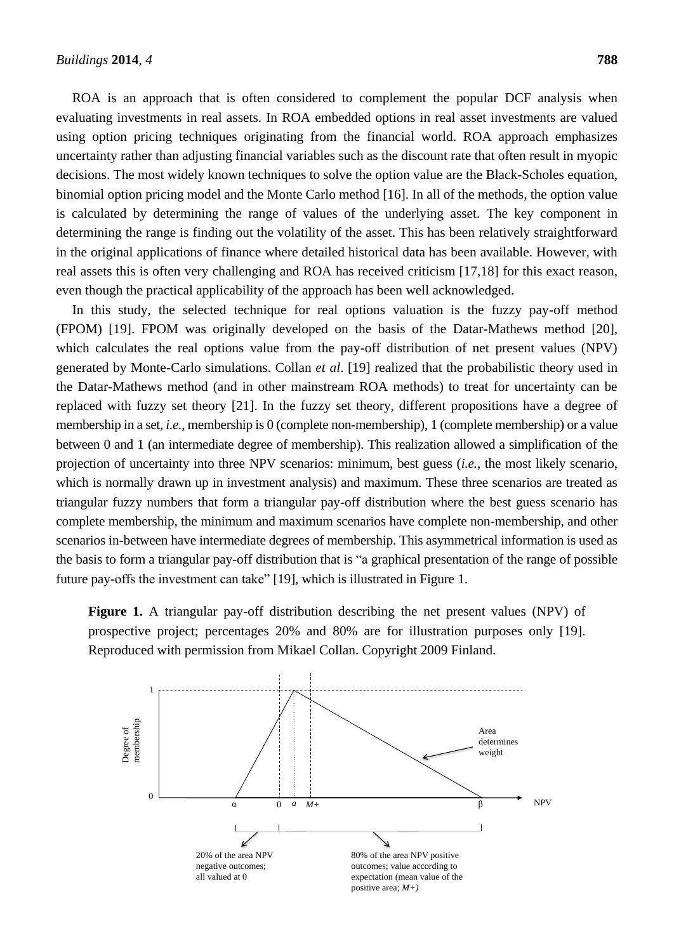ROA is an approach that is often considered to complement the popular DCF analysis when evaluating investments in real assets. In ROA embedded options in real asset investments are valued using option pricing techniques originating from the financial world. ROA approach emphasizes uncertainty rather than adjusting financial variables such as the discount rate that often result in myopic decisions. The most widely known techniques to solve the option value are the Black-Scholes equation, binomial option pricing model and the Monte Carlo method [16]. In all of the methods, the option value is calculated by determining the range of values of the underlying asset. The key component in determining the range is finding out the volatility of the asset. This has been relatively straightforward in the original applications of finance where detailed historical data has been available. However, with real assets this is often very challenging and ROA has received criticism [17,18] for this exact reason, even though the practical applicability of the approach has been well acknowledged.

In this study, the selected technique for real options valuation is the fuzzy pay-off method (FPOM) [19]. FPOM was originally developed on the basis of the Datar-Mathews method [20], which calculates the real options value from the pay-off distribution of net present values (NPV) generated by Monte-Carlo simulations. Collan *et al*. [19] realized that the probabilistic theory used in the Datar-Mathews method (and in other mainstream ROA methods) to treat for uncertainty can be replaced with fuzzy set theory [21]. In the fuzzy set theory, different propositions have a degree of membership in a set, *i.e.*, membership is 0 (complete non-membership), 1 (complete membership) or a value between 0 and 1 (an intermediate degree of membership). This realization allowed a simplification of the projection of uncertainty into three NPV scenarios: minimum, best guess (*i.e.*, the most likely scenario, which is normally drawn up in investment analysis) and maximum. These three scenarios are treated as triangular fuzzy numbers that form a triangular pay-off distribution where the best guess scenario has complete membership, the minimum and maximum scenarios have complete non-membership, and other scenarios in-between have intermediate degrees of membership. This asymmetrical information is used as the basis to form a triangular pay-off distribution that is "a graphical presentation of the range of possible future pay-offs the investment can take" [19], which is illustrated in Figure 1.

**Figure 1.** A triangular pay-off distribution describing the net present values (NPV) of prospective project; percentages 20% and 80% are for illustration purposes only [19]. Reproduced with permission from Mikael Collan. Copyright 2009 Finland.

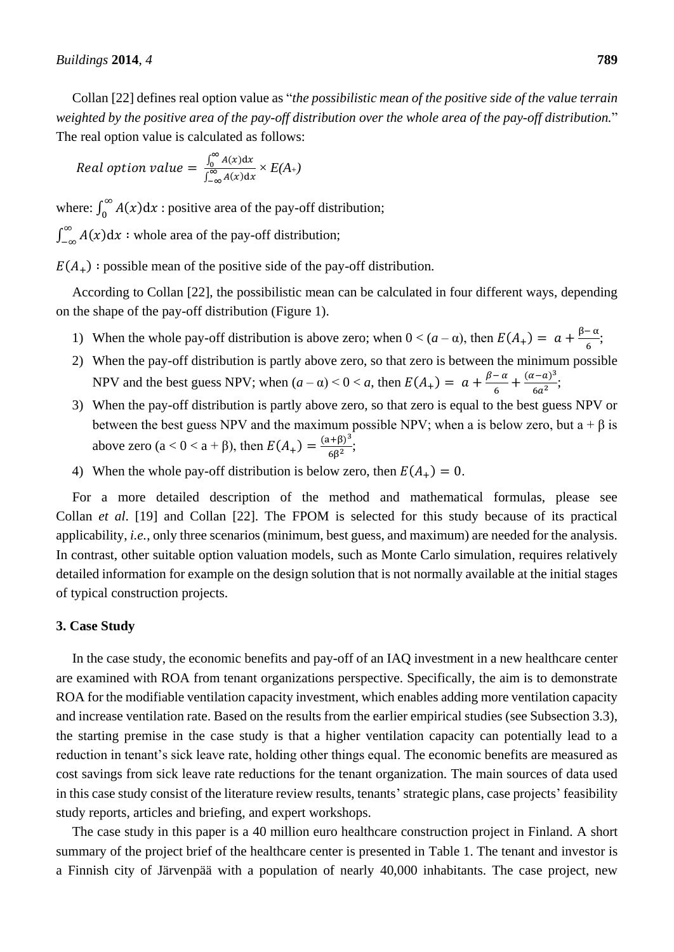Collan [22] defines real option value as "*the possibilistic mean of the positive side of the value terrain weighted by the positive area of the pay-off distribution over the whole area of the pay-off distribution.*" The real option value is calculated as follows:

Real option value = 
$$
\frac{\int_0^\infty A(x) dx}{\int_{-\infty}^\infty A(x) dx} \times E(A_+)
$$

where:  $\int_0^\infty A(x) dx$  $\int_{0}^{\infty} A(x) dx$ : positive area of the pay-off distribution;

 $\int_{-\infty}^{\infty} A(x) dx$ :  $\int_{-\infty}^{\infty} A(x) dx$ : whole area of the pay-off distribution;

 $E(A_+)$ : possible mean of the positive side of the pay-off distribution.

According to Collan [22], the possibilistic mean can be calculated in four different ways, depending on the shape of the pay-off distribution (Figure 1).

- 1) When the whole pay-off distribution is above zero; when  $0 < (a \alpha)$ , then  $E(A_+) = a + \frac{\beta \alpha}{6}$  $\frac{\pi}{6}$ ;
- 2) When the pay-off distribution is partly above zero, so that zero is between the minimum possible NPV and the best guess NPV; when  $(a - \alpha) < 0 < a$ , then  $E(A_+) = a + \frac{\beta - \alpha}{6}$  $\frac{a-a}{6} + \frac{(a-a)^3}{6a^2}$  $\frac{(-a)}{6a^2}$ ;
- 3) When the pay-off distribution is partly above zero, so that zero is equal to the best guess NPV or between the best guess NPV and the maximum possible NPV; when a is below zero, but a +  $\beta$  is above zero (a < 0 < a + β), then  $E(A_+) = \frac{(a+β)^3}{6R^2}$  $rac{(-1)^{1}}{6\beta^2}$ ;
- 4) When the whole pay-off distribution is below zero, then  $E(A_+) = 0$ .

For a more detailed description of the method and mathematical formulas, please see Collan *et al*. [19] and Collan [22]. The FPOM is selected for this study because of its practical applicability, *i.e.*, only three scenarios (minimum, best guess, and maximum) are needed for the analysis. In contrast, other suitable option valuation models, such as Monte Carlo simulation, requires relatively detailed information for example on the design solution that is not normally available at the initial stages of typical construction projects.

#### **3. Case Study**

In the case study, the economic benefits and pay-off of an IAQ investment in a new healthcare center are examined with ROA from tenant organizations perspective. Specifically, the aim is to demonstrate ROA for the modifiable ventilation capacity investment, which enables adding more ventilation capacity and increase ventilation rate. Based on the results from the earlier empirical studies (see Subsection 3.3), the starting premise in the case study is that a higher ventilation capacity can potentially lead to a reduction in tenant's sick leave rate, holding other things equal. The economic benefits are measured as cost savings from sick leave rate reductions for the tenant organization. The main sources of data used in this case study consist of the literature review results, tenants' strategic plans, case projects' feasibility study reports, articles and briefing, and expert workshops.

The case study in this paper is a 40 million euro healthcare construction project in Finland. A short summary of the project brief of the healthcare center is presented in Table 1. The tenant and investor is a Finnish city of Järvenpää with a population of nearly 40,000 inhabitants. The case project, new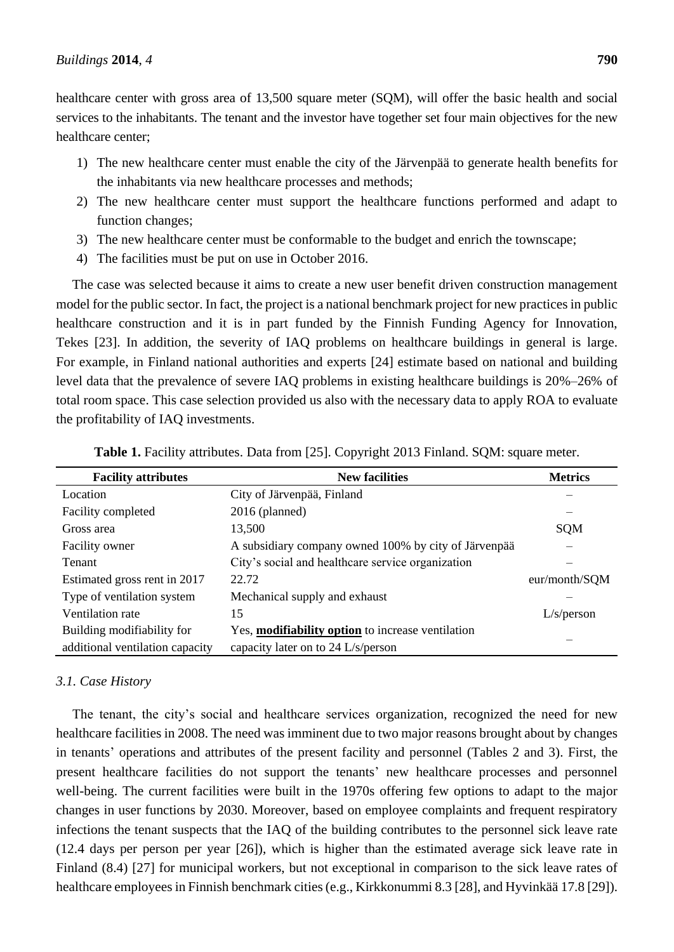healthcare center with gross area of 13,500 square meter (SQM), will offer the basic health and social services to the inhabitants. The tenant and the investor have together set four main objectives for the new healthcare center;

- 1) The new healthcare center must enable the city of the Järvenpää to generate health benefits for the inhabitants via new healthcare processes and methods;
- 2) The new healthcare center must support the healthcare functions performed and adapt to function changes;
- 3) The new healthcare center must be conformable to the budget and enrich the townscape;
- 4) The facilities must be put on use in October 2016.

The case was selected because it aims to create a new user benefit driven construction management model for the public sector. In fact, the project is a national benchmark project for new practices in public healthcare construction and it is in part funded by the Finnish Funding Agency for Innovation, Tekes [23]. In addition, the severity of IAQ problems on healthcare buildings in general is large. For example, in Finland national authorities and experts [24] estimate based on national and building level data that the prevalence of severe IAQ problems in existing healthcare buildings is 20%–26% of total room space. This case selection provided us also with the necessary data to apply ROA to evaluate the profitability of IAQ investments.

| <b>New facilities</b><br><b>Facility attributes</b> |                                                        | <b>Metrics</b> |
|-----------------------------------------------------|--------------------------------------------------------|----------------|
| Location                                            | City of J ärvenpää, Finland                            |                |
| Facility completed                                  | $2016$ (planned)                                       | –              |
| Gross area                                          | 13,500                                                 | <b>SQM</b>     |
| <b>Facility owner</b>                               | A subsidiary company owned 100% by city of J ärven a a |                |
| <b>Tenant</b>                                       | City's social and healthcare service organization      |                |
| Estimated gross rent in 2017                        | 22.72                                                  | eur/month/SQM  |
| Type of ventilation system                          | Mechanical supply and exhaust                          |                |
| Ventilation rate                                    | 15                                                     | L/s/person     |
| Building modifiability for                          | Yes, modifiability option to increase ventilation      |                |
| additional ventilation capacity                     | capacity later on to 24 L/s/person                     |                |

**Table 1.** Facility attributes. Data from [25]. Copyright 2013 Finland. SQM: square meter.

#### *3.1. Case History*

The tenant, the city's social and healthcare services organization, recognized the need for new healthcare facilities in 2008. The need was imminent due to two major reasons brought about by changes in tenants' operations and attributes of the present facility and personnel (Tables 2 and 3). First, the present healthcare facilities do not support the tenants' new healthcare processes and personnel well-being. The current facilities were built in the 1970s offering few options to adapt to the major changes in user functions by 2030. Moreover, based on employee complaints and frequent respiratory infections the tenant suspects that the IAQ of the building contributes to the personnel sick leave rate (12.4 days per person per year [26]), which is higher than the estimated average sick leave rate in Finland (8.4) [27] for municipal workers, but not exceptional in comparison to the sick leave rates of healthcare employees in Finnish benchmark cities (e.g., Kirkkonummi 8.3 [28], and Hyvinkää 17.8 [29]).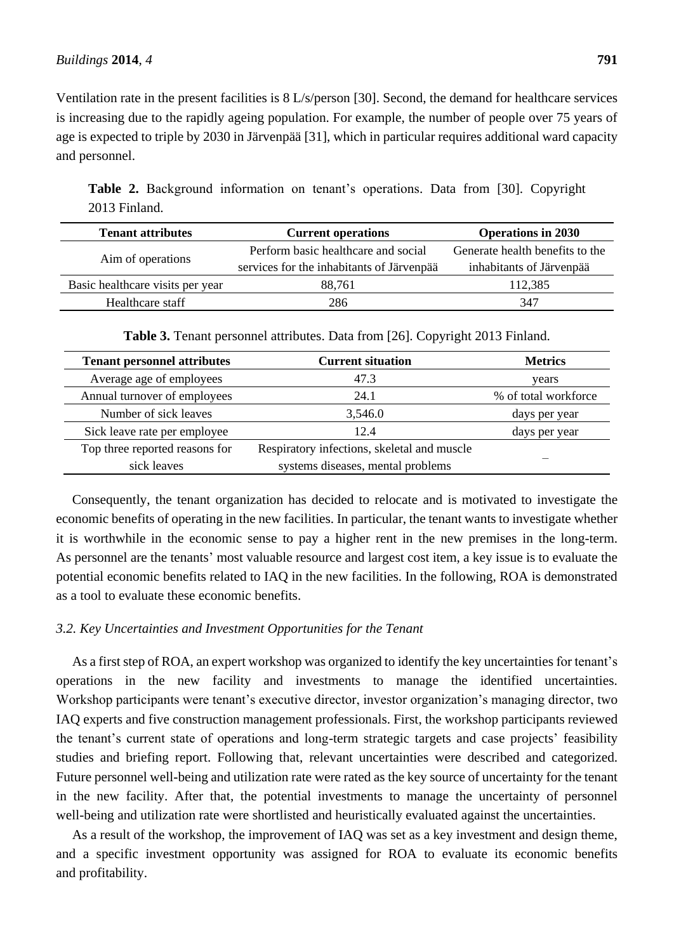Ventilation rate in the present facilities is 8 L/s/person [30]. Second, the demand for healthcare services is increasing due to the rapidly ageing population. For example, the number of people over 75 years of age is expected to triple by 2030 in Järvenpää [31], which in particular requires additional ward capacity and personnel.

**Table 2.** Background information on tenant's operations. Data from [30]. Copyright 2013 Finland.

| <b>Tenant attributes</b>         | <b>Current operations</b>                   | <b>Operations in 2030</b>       |
|----------------------------------|---------------------------------------------|---------------------------------|
|                                  | Perform basic healthcare and social         | Generate health benefits to the |
| Aim of operations                | services for the inhabitants of J ärven pää | inhabitants of J ärvenpää       |
| Basic healthcare visits per year | 88,761                                      | 112,385                         |
| Healthcare staff                 | 286                                         | 347                             |

**Table 3.** Tenant personnel attributes. Data from [26]. Copyright 2013 Finland.

| <b>Tenant personnel attributes</b> | <b>Current situation</b>                    | <b>Metrics</b>       |
|------------------------------------|---------------------------------------------|----------------------|
| Average age of employees           | 47.3                                        | years                |
| Annual turnover of employees       | 24.1                                        | % of total workforce |
| Number of sick leaves              | 3,546.0                                     | days per year        |
| Sick leave rate per employee       | 12.4                                        | days per year        |
| Top three reported reasons for     | Respiratory infections, skeletal and muscle |                      |
| sick leaves                        | systems diseases, mental problems           |                      |

Consequently, the tenant organization has decided to relocate and is motivated to investigate the economic benefits of operating in the new facilities. In particular, the tenant wants to investigate whether it is worthwhile in the economic sense to pay a higher rent in the new premises in the long-term. As personnel are the tenants' most valuable resource and largest cost item, a key issue is to evaluate the potential economic benefits related to IAQ in the new facilities. In the following, ROA is demonstrated as a tool to evaluate these economic benefits.

### *3.2. Key Uncertainties and Investment Opportunities for the Tenant*

As a first step of ROA, an expert workshop was organized to identify the key uncertainties for tenant's operations in the new facility and investments to manage the identified uncertainties. Workshop participants were tenant's executive director, investor organization's managing director, two IAQ experts and five construction management professionals. First, the workshop participants reviewed the tenant's current state of operations and long-term strategic targets and case projects' feasibility studies and briefing report. Following that, relevant uncertainties were described and categorized. Future personnel well-being and utilization rate were rated as the key source of uncertainty for the tenant in the new facility. After that, the potential investments to manage the uncertainty of personnel well-being and utilization rate were shortlisted and heuristically evaluated against the uncertainties.

As a result of the workshop, the improvement of IAQ was set as a key investment and design theme, and a specific investment opportunity was assigned for ROA to evaluate its economic benefits and profitability.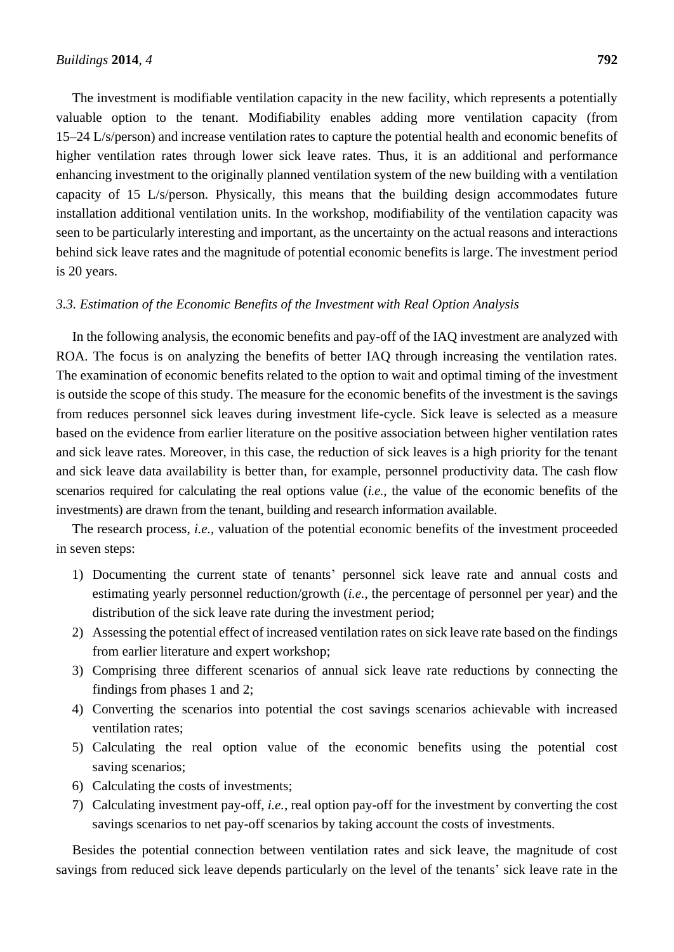The investment is modifiable ventilation capacity in the new facility, which represents a potentially valuable option to the tenant. Modifiability enables adding more ventilation capacity (from 15–24 L/s/person) and increase ventilation rates to capture the potential health and economic benefits of higher ventilation rates through lower sick leave rates. Thus, it is an additional and performance enhancing investment to the originally planned ventilation system of the new building with a ventilation capacity of 15 L/s/person. Physically, this means that the building design accommodates future installation additional ventilation units. In the workshop, modifiability of the ventilation capacity was seen to be particularly interesting and important, as the uncertainty on the actual reasons and interactions behind sick leave rates and the magnitude of potential economic benefits is large. The investment period is 20 years.

### *3.3. Estimation of the Economic Benefits of the Investment with Real Option Analysis*

In the following analysis, the economic benefits and pay-off of the IAQ investment are analyzed with ROA. The focus is on analyzing the benefits of better IAQ through increasing the ventilation rates. The examination of economic benefits related to the option to wait and optimal timing of the investment is outside the scope of this study. The measure for the economic benefits of the investment is the savings from reduces personnel sick leaves during investment life-cycle. Sick leave is selected as a measure based on the evidence from earlier literature on the positive association between higher ventilation rates and sick leave rates. Moreover, in this case, the reduction of sick leaves is a high priority for the tenant and sick leave data availability is better than, for example, personnel productivity data. The cash flow scenarios required for calculating the real options value (*i.e.*, the value of the economic benefits of the investments) are drawn from the tenant, building and research information available.

The research process, *i.e.*, valuation of the potential economic benefits of the investment proceeded in seven steps:

- 1) Documenting the current state of tenants' personnel sick leave rate and annual costs and estimating yearly personnel reduction/growth (*i.e.*, the percentage of personnel per year) and the distribution of the sick leave rate during the investment period;
- 2) Assessing the potential effect of increased ventilation rates on sick leave rate based on the findings from earlier literature and expert workshop;
- 3) Comprising three different scenarios of annual sick leave rate reductions by connecting the findings from phases 1 and 2;
- 4) Converting the scenarios into potential the cost savings scenarios achievable with increased ventilation rates;
- 5) Calculating the real option value of the economic benefits using the potential cost saving scenarios;
- 6) Calculating the costs of investments;
- 7) Calculating investment pay-off, *i.e.*, real option pay-off for the investment by converting the cost savings scenarios to net pay-off scenarios by taking account the costs of investments.

Besides the potential connection between ventilation rates and sick leave, the magnitude of cost savings from reduced sick leave depends particularly on the level of the tenants' sick leave rate in the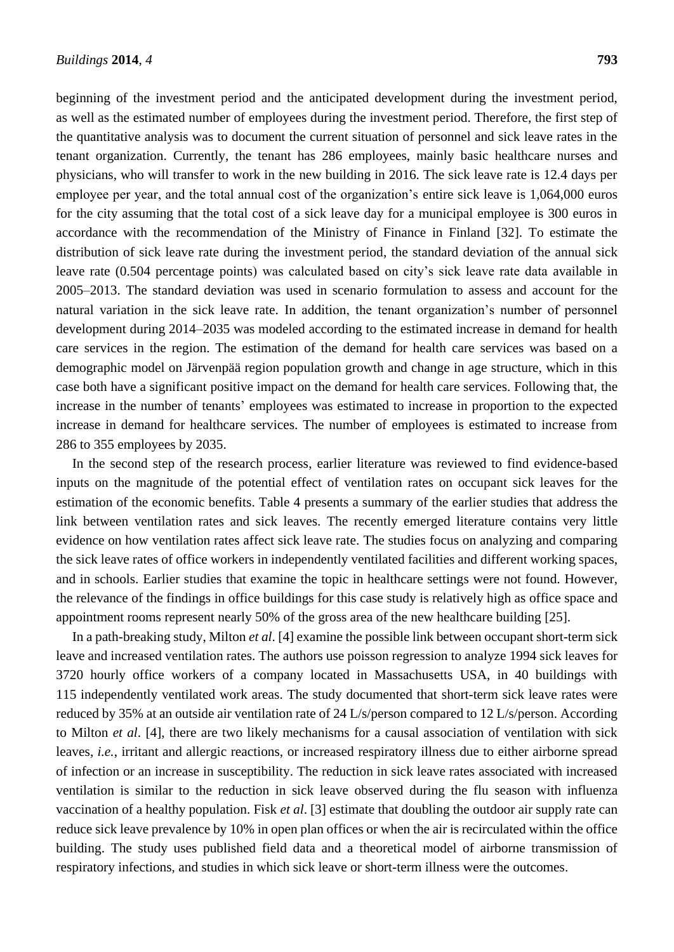beginning of the investment period and the anticipated development during the investment period, as well as the estimated number of employees during the investment period. Therefore, the first step of the quantitative analysis was to document the current situation of personnel and sick leave rates in the tenant organization. Currently, the tenant has 286 employees, mainly basic healthcare nurses and physicians, who will transfer to work in the new building in 2016. The sick leave rate is 12.4 days per employee per year, and the total annual cost of the organization's entire sick leave is 1,064,000 euros for the city assuming that the total cost of a sick leave day for a municipal employee is 300 euros in accordance with the recommendation of the Ministry of Finance in Finland [32]. To estimate the distribution of sick leave rate during the investment period, the standard deviation of the annual sick leave rate (0.504 percentage points) was calculated based on city's sick leave rate data available in 2005–2013. The standard deviation was used in scenario formulation to assess and account for the natural variation in the sick leave rate. In addition, the tenant organization's number of personnel development during 2014–2035 was modeled according to the estimated increase in demand for health care services in the region. The estimation of the demand for health care services was based on a demographic model on Järvenpää region population growth and change in age structure, which in this case both have a significant positive impact on the demand for health care services. Following that, the increase in the number of tenants' employees was estimated to increase in proportion to the expected increase in demand for healthcare services. The number of employees is estimated to increase from 286 to 355 employees by 2035.

In the second step of the research process, earlier literature was reviewed to find evidence-based inputs on the magnitude of the potential effect of ventilation rates on occupant sick leaves for the estimation of the economic benefits. Table 4 presents a summary of the earlier studies that address the link between ventilation rates and sick leaves. The recently emerged literature contains very little evidence on how ventilation rates affect sick leave rate. The studies focus on analyzing and comparing the sick leave rates of office workers in independently ventilated facilities and different working spaces, and in schools. Earlier studies that examine the topic in healthcare settings were not found. However, the relevance of the findings in office buildings for this case study is relatively high as office space and appointment rooms represent nearly 50% of the gross area of the new healthcare building [25].

In a path-breaking study, Milton *et al*. [4] examine the possible link between occupant short-term sick leave and increased ventilation rates. The authors use poisson regression to analyze 1994 sick leaves for 3720 hourly office workers of a company located in Massachusetts USA, in 40 buildings with 115 independently ventilated work areas. The study documented that short-term sick leave rates were reduced by 35% at an outside air ventilation rate of 24 L/s/person compared to 12 L/s/person. According to Milton *et al*. [4], there are two likely mechanisms for a causal association of ventilation with sick leaves, *i.e.*, irritant and allergic reactions, or increased respiratory illness due to either airborne spread of infection or an increase in susceptibility. The reduction in sick leave rates associated with increased ventilation is similar to the reduction in sick leave observed during the flu season with influenza vaccination of a healthy population. Fisk *et al*. [3] estimate that doubling the outdoor air supply rate can reduce sick leave prevalence by 10% in open plan offices or when the air is recirculated within the office building. The study uses published field data and a theoretical model of airborne transmission of respiratory infections, and studies in which sick leave or short-term illness were the outcomes.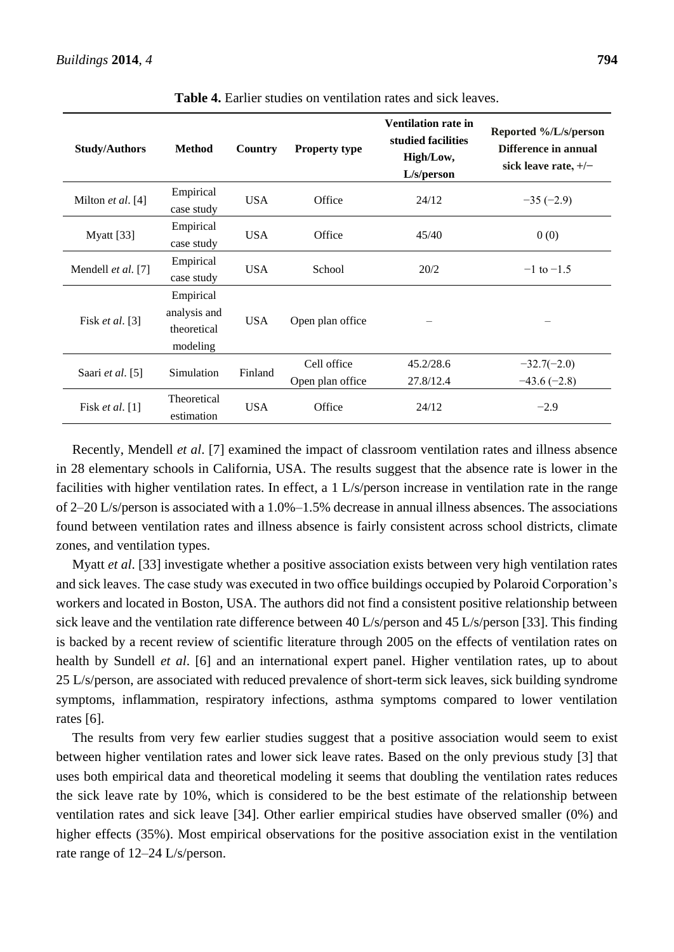| <b>Study/Authors</b> | <b>Method</b>                                        | <b>Country</b> | <b>Property type</b>            | <b>Ventilation rate in</b><br>studied facilities<br>High/Low,<br>L/s/person | Reported %/L/s/person<br>Difference in annual<br>sick leave rate, $+/-$ |
|----------------------|------------------------------------------------------|----------------|---------------------------------|-----------------------------------------------------------------------------|-------------------------------------------------------------------------|
| Milton et al. [4]    | Empirical<br>case study                              | <b>USA</b>     | Office                          | 24/12                                                                       | $-35(-2.9)$                                                             |
| Myatt [33]           | Empirical<br>case study                              | <b>USA</b>     | Office                          | 45/40                                                                       | 0(0)                                                                    |
| Mendell et al. [7]   | Empirical<br>case study                              | <b>USA</b>     | School                          | 20/2                                                                        | $-1$ to $-1.5$                                                          |
| Fisk et al. [3]      | Empirical<br>analysis and<br>theoretical<br>modeling | <b>USA</b>     | Open plan office                |                                                                             |                                                                         |
| Saari et al. [5]     | Simulation                                           | Finland        | Cell office<br>Open plan office | 45.2/28.6<br>27.8/12.4                                                      | $-32.7(-2.0)$<br>$-43.6(-2.8)$                                          |
| Fisk et al. $[1]$    | Theoretical<br>estimation                            | <b>USA</b>     | Office                          | 24/12                                                                       | $-2.9$                                                                  |

**Table 4.** Earlier studies on ventilation rates and sick leaves.

Recently, Mendell *et al*. [7] examined the impact of classroom ventilation rates and illness absence in 28 elementary schools in California, USA. The results suggest that the absence rate is lower in the facilities with higher ventilation rates. In effect, a 1 L/s/person increase in ventilation rate in the range of 2–20 L/s/person is associated with a 1.0%–1.5% decrease in annual illness absences. The associations found between ventilation rates and illness absence is fairly consistent across school districts, climate zones, and ventilation types.

Myatt *et al*. [33] investigate whether a positive association exists between very high ventilation rates and sick leaves. The case study was executed in two office buildings occupied by Polaroid Corporation's workers and located in Boston, USA. The authors did not find a consistent positive relationship between sick leave and the ventilation rate difference between 40 L/s/person and 45 L/s/person [33]. This finding is backed by a recent review of scientific literature through 2005 on the effects of ventilation rates on health by Sundell *et al*. [6] and an international expert panel. Higher ventilation rates, up to about 25 L/s/person, are associated with reduced prevalence of short-term sick leaves, sick building syndrome symptoms, inflammation, respiratory infections, asthma symptoms compared to lower ventilation rates [6].

The results from very few earlier studies suggest that a positive association would seem to exist between higher ventilation rates and lower sick leave rates. Based on the only previous study [3] that uses both empirical data and theoretical modeling it seems that doubling the ventilation rates reduces the sick leave rate by 10%, which is considered to be the best estimate of the relationship between ventilation rates and sick leave [34]. Other earlier empirical studies have observed smaller (0%) and higher effects (35%). Most empirical observations for the positive association exist in the ventilation rate range of 12–24 L/s/person.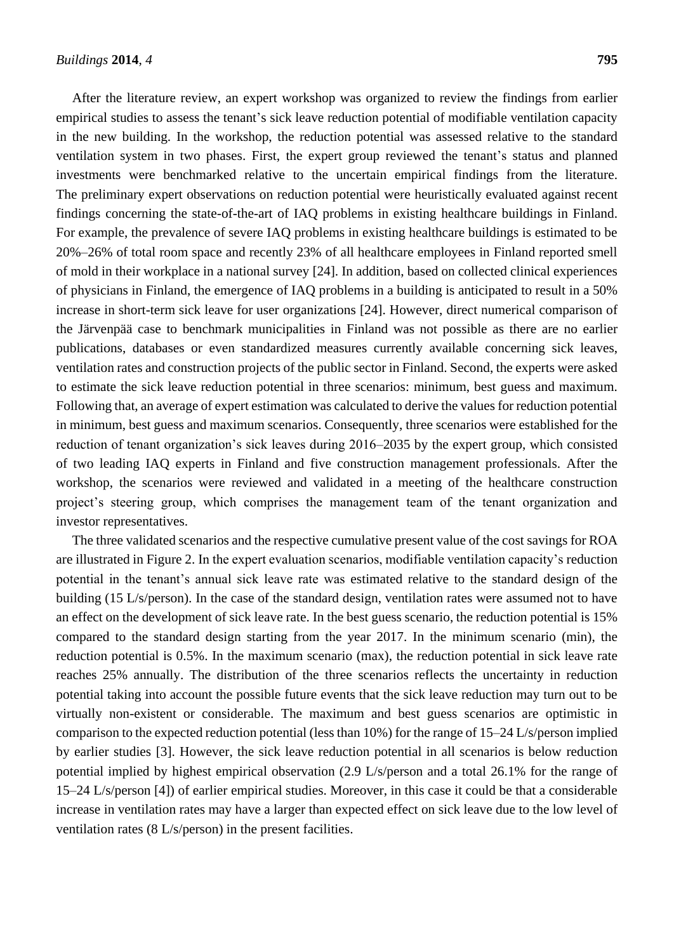After the literature review, an expert workshop was organized to review the findings from earlier empirical studies to assess the tenant's sick leave reduction potential of modifiable ventilation capacity in the new building. In the workshop, the reduction potential was assessed relative to the standard ventilation system in two phases. First, the expert group reviewed the tenant's status and planned investments were benchmarked relative to the uncertain empirical findings from the literature. The preliminary expert observations on reduction potential were heuristically evaluated against recent findings concerning the state-of-the-art of IAQ problems in existing healthcare buildings in Finland. For example, the prevalence of severe IAQ problems in existing healthcare buildings is estimated to be 20%–26% of total room space and recently 23% of all healthcare employees in Finland reported smell of mold in their workplace in a national survey [24]. In addition, based on collected clinical experiences of physicians in Finland, the emergence of IAQ problems in a building is anticipated to result in a 50% increase in short-term sick leave for user organizations [24]. However, direct numerical comparison of the Järvenpää case to benchmark municipalities in Finland was not possible as there are no earlier publications, databases or even standardized measures currently available concerning sick leaves, ventilation rates and construction projects of the public sector in Finland. Second, the experts were asked to estimate the sick leave reduction potential in three scenarios: minimum, best guess and maximum. Following that, an average of expert estimation was calculated to derive the values for reduction potential in minimum, best guess and maximum scenarios. Consequently, three scenarios were established for the reduction of tenant organization's sick leaves during 2016–2035 by the expert group, which consisted of two leading IAQ experts in Finland and five construction management professionals. After the workshop, the scenarios were reviewed and validated in a meeting of the healthcare construction project's steering group, which comprises the management team of the tenant organization and investor representatives.

The three validated scenarios and the respective cumulative present value of the cost savings for ROA are illustrated in Figure 2. In the expert evaluation scenarios, modifiable ventilation capacity's reduction potential in the tenant's annual sick leave rate was estimated relative to the standard design of the building (15 L/s/person). In the case of the standard design, ventilation rates were assumed not to have an effect on the development of sick leave rate. In the best guess scenario, the reduction potential is 15% compared to the standard design starting from the year 2017. In the minimum scenario (min), the reduction potential is 0.5%. In the maximum scenario (max), the reduction potential in sick leave rate reaches 25% annually. The distribution of the three scenarios reflects the uncertainty in reduction potential taking into account the possible future events that the sick leave reduction may turn out to be virtually non-existent or considerable. The maximum and best guess scenarios are optimistic in comparison to the expected reduction potential (less than 10%) for the range of 15–24 L/s/person implied by earlier studies [3]. However, the sick leave reduction potential in all scenarios is below reduction potential implied by highest empirical observation (2.9 L/s/person and a total 26.1% for the range of 15–24 L/s/person [4]) of earlier empirical studies. Moreover, in this case it could be that a considerable increase in ventilation rates may have a larger than expected effect on sick leave due to the low level of ventilation rates (8 L/s/person) in the present facilities.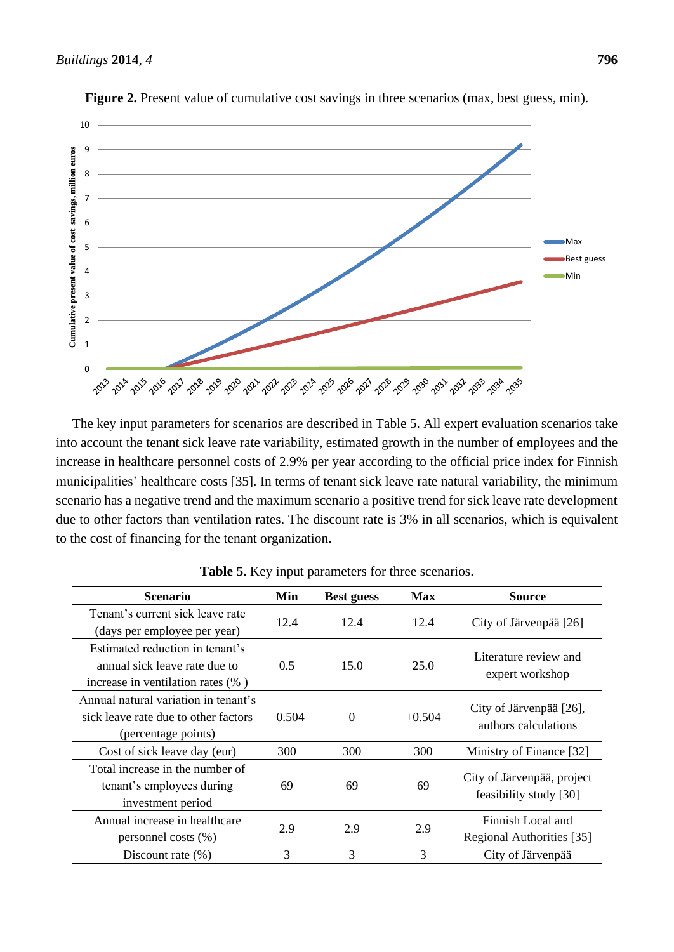

**Figure 2.** Present value of cumulative cost savings in three scenarios (max, best guess, min).

The key input parameters for scenarios are described in Table 5. All expert evaluation scenarios take into account the tenant sick leave rate variability, estimated growth in the number of employees and the increase in healthcare personnel costs of 2.9% per year according to the official price index for Finnish municipalities' healthcare costs [35]. In terms of tenant sick leave rate natural variability, the minimum scenario has a negative trend and the maximum scenario a positive trend for sick leave rate development due to other factors than ventilation rates. The discount rate is 3% in all scenarios, which is equivalent to the cost of financing for the tenant organization.

| <b>Scenario</b>                       | Min        | <b>Best guess</b> | Max      | Source                                            |                        |
|---------------------------------------|------------|-------------------|----------|---------------------------------------------------|------------------------|
| Tenant's current sick leave rate      | 12.4       | 12.4              | 12.4     |                                                   |                        |
| (days per employee per year)          |            |                   |          | City of J ärvenpää $[26]$                         |                        |
| Estimated reduction in tenant's       |            |                   |          |                                                   |                        |
| annual sick leave rate due to         | 0.5        | 15.0              | 25.0     | Literature review and                             |                        |
| increase in ventilation rates $(\%$ ) |            |                   |          | expert workshop                                   |                        |
| Annual natural variation in tenant's  |            |                   |          |                                                   |                        |
| sick leave rate due to other factors  | $-0.504$   | $\Omega$          | $+0.504$ | City of J ärvenp ää [26],<br>authors calculations |                        |
| (percentage points)                   |            |                   |          |                                                   |                        |
| Cost of sick leave day (eur)          | 300        | 300               | 300      | Ministry of Finance [32]                          |                        |
| Total increase in the number of       |            |                   |          |                                                   |                        |
| tenant's employees during             | 69         | 69                | 69       | City of J ärven a ä project                       |                        |
| investment period                     |            |                   |          |                                                   | feasibility study [30] |
| Annual increase in healthcare         |            |                   |          | Finnish Local and                                 |                        |
| personnel costs $(\%)$                | 2.9<br>2.9 |                   | 2.9      | Regional Authorities [35]                         |                        |
| Discount rate $(\% )$                 | 3          | 3                 | 3        | City of J ärvenpää                                |                        |

**Table 5.** Key input parameters for three scenarios.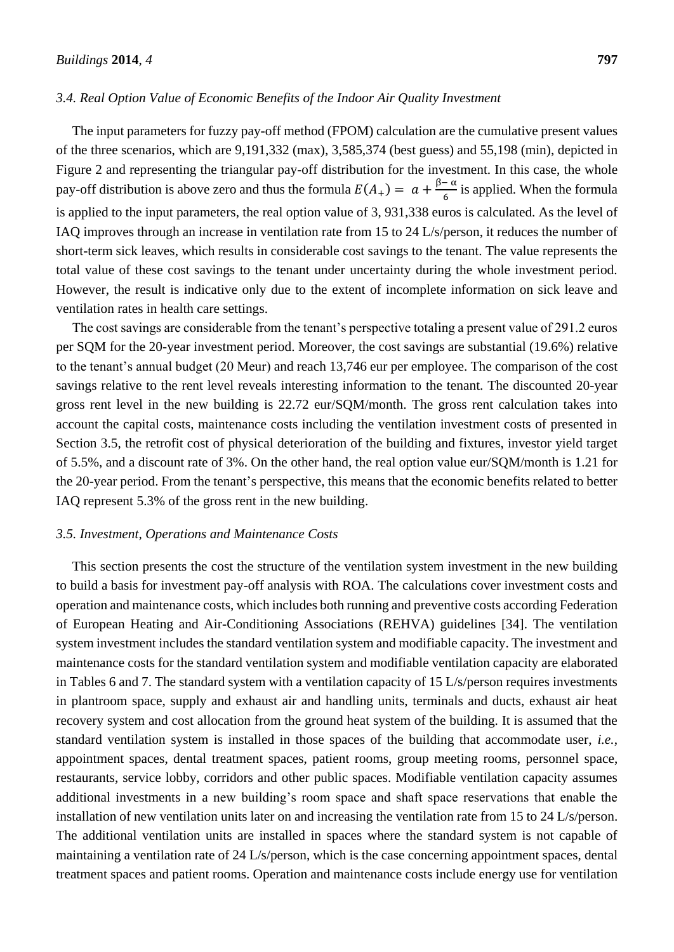## *3.4. Real Option Value of Economic Benefits of the Indoor Air Quality Investment*

The input parameters for fuzzy pay-off method (FPOM) calculation are the cumulative present values of the three scenarios, which are 9,191,332 (max), 3,585,374 (best guess) and 55,198 (min), depicted in Figure 2 and representing the triangular pay-off distribution for the investment. In this case, the whole pay-off distribution is above zero and thus the formula  $E(A_+) = a + \frac{\beta - \alpha}{6}$  $\frac{1}{6}$  is applied. When the formula is applied to the input parameters, the real option value of 3, 931,338 euros is calculated. As the level of IAQ improves through an increase in ventilation rate from 15 to 24 L/s/person, it reduces the number of short-term sick leaves, which results in considerable cost savings to the tenant. The value represents the total value of these cost savings to the tenant under uncertainty during the whole investment period. However, the result is indicative only due to the extent of incomplete information on sick leave and ventilation rates in health care settings.

The cost savings are considerable from the tenant's perspective totaling a present value of 291.2 euros per SQM for the 20-year investment period. Moreover, the cost savings are substantial (19.6%) relative to the tenant's annual budget (20 Meur) and reach 13,746 eur per employee. The comparison of the cost savings relative to the rent level reveals interesting information to the tenant. The discounted 20-year gross rent level in the new building is 22.72 eur/SQM/month. The gross rent calculation takes into account the capital costs, maintenance costs including the ventilation investment costs of presented in Section 3.5, the retrofit cost of physical deterioration of the building and fixtures, investor yield target of 5.5%, and a discount rate of 3%. On the other hand, the real option value eur/SQM/month is 1.21 for the 20-year period. From the tenant's perspective, this means that the economic benefits related to better IAQ represent 5.3% of the gross rent in the new building.

#### *3.5. Investment, Operations and Maintenance Costs*

This section presents the cost the structure of the ventilation system investment in the new building to build a basis for investment pay-off analysis with ROA. The calculations cover investment costs and operation and maintenance costs, which includes both running and preventive costs according Federation of European Heating and Air-Conditioning Associations (REHVA) guidelines [34]. The ventilation system investment includes the standard ventilation system and modifiable capacity. The investment and maintenance costs for the standard ventilation system and modifiable ventilation capacity are elaborated in Tables 6 and 7. The standard system with a ventilation capacity of 15 L/s/person requires investments in plantroom space, supply and exhaust air and handling units, terminals and ducts, exhaust air heat recovery system and cost allocation from the ground heat system of the building. It is assumed that the standard ventilation system is installed in those spaces of the building that accommodate user, *i.e.*, appointment spaces, dental treatment spaces, patient rooms, group meeting rooms, personnel space, restaurants, service lobby, corridors and other public spaces. Modifiable ventilation capacity assumes additional investments in a new building's room space and shaft space reservations that enable the installation of new ventilation units later on and increasing the ventilation rate from 15 to 24 L/s/person. The additional ventilation units are installed in spaces where the standard system is not capable of maintaining a ventilation rate of 24 L/s/person, which is the case concerning appointment spaces, dental treatment spaces and patient rooms. Operation and maintenance costs include energy use for ventilation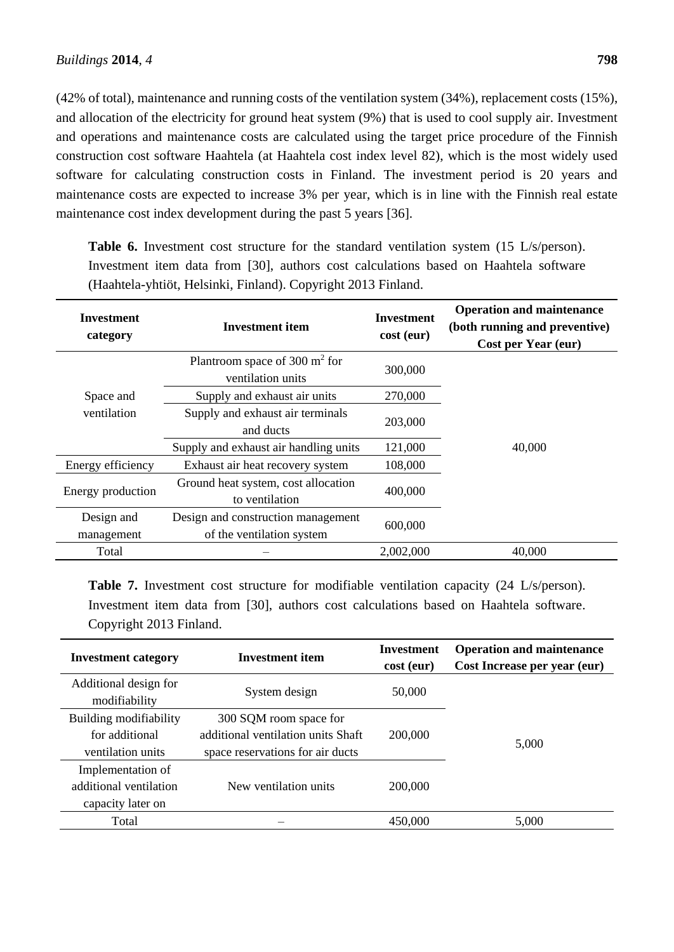(42% of total), maintenance and running costs of the ventilation system (34%), replacement costs (15%), and allocation of the electricity for ground heat system (9%) that is used to cool supply air. Investment and operations and maintenance costs are calculated using the target price procedure of the Finnish construction cost software Haahtela (at Haahtela cost index level 82), which is the most widely used software for calculating construction costs in Finland. The investment period is 20 years and maintenance costs are expected to increase 3% per year, which is in line with the Finnish real estate maintenance cost index development during the past 5 years [36].

**Investment category Investment item Investment cost (eur) Operation and maintenance (both running and preventive) Cost per Year (eur)** Space and ventilation Plantroom space of 300 m<sup>2</sup> for ventilation units 300,000 40,000 Supply and exhaust air units 270,000 Supply and exhaust air terminals and ducts 203,000 Supply and exhaust air handling units 121,000 Energy efficiency Exhaust air heat recovery system 108,000 Energy production Ground heat system, cost allocation to ventilation 400,000 Design and management Design and construction management of the ventilation system 600,000 Total – 2,002,000 40,000

**Table 6.** Investment cost structure for the standard ventilation system (15 L/s/person). Investment item data from [30], authors cost calculations based on Haahtela software (Haahtela-yhtiöt, Helsinki, Finland). Copyright 2013 Finland.

**Table 7.** Investment cost structure for modifiable ventilation capacity (24 L/s/person). Investment item data from [30], authors cost calculations based on Haahtela software. Copyright 2013 Finland.

| <b>Investment</b> item<br><b>Investment category</b> |                                    | Investment<br>cost (eur) | <b>Operation and maintenance</b><br>Cost Increase per year (eur) |
|------------------------------------------------------|------------------------------------|--------------------------|------------------------------------------------------------------|
| Additional design for<br>modifiability               | System design                      | 50,000                   |                                                                  |
| Building modifiability                               | 300 SQM room space for             |                          |                                                                  |
| for additional                                       | additional ventilation units Shaft | 200,000                  | 5,000                                                            |
| ventilation units                                    | space reservations for air ducts   |                          |                                                                  |
| Implementation of                                    |                                    |                          |                                                                  |
| additional ventilation                               | New ventilation units              | 200,000                  |                                                                  |
| capacity later on                                    |                                    |                          |                                                                  |
| Total                                                |                                    | 450,000                  | 5.000                                                            |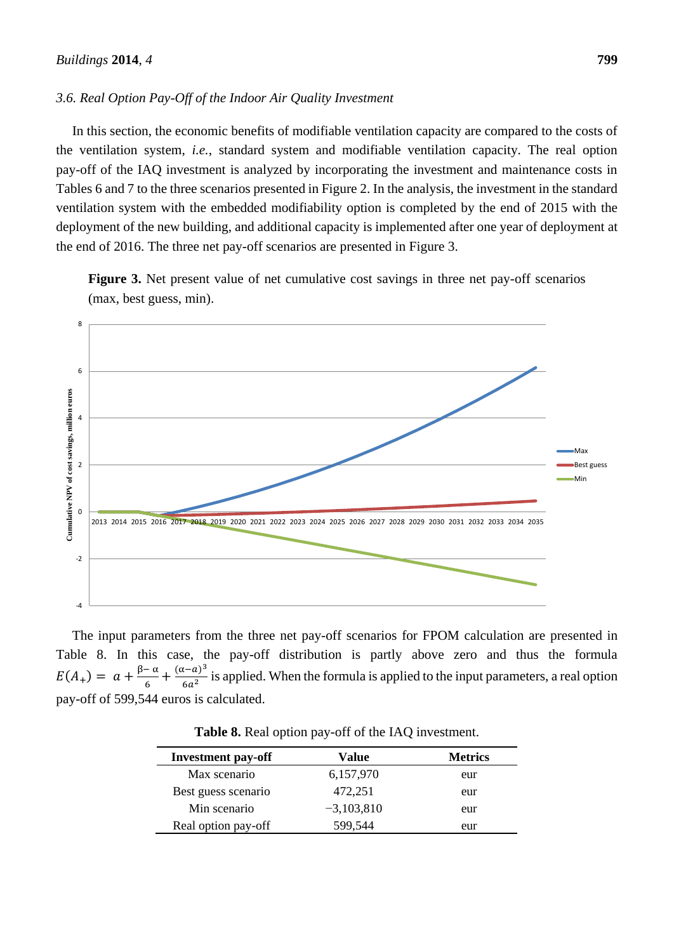### *3.6. Real Option Pay-Off of the Indoor Air Quality Investment*

In this section, the economic benefits of modifiable ventilation capacity are compared to the costs of the ventilation system, *i.e.*, standard system and modifiable ventilation capacity. The real option pay-off of the IAQ investment is analyzed by incorporating the investment and maintenance costs in Tables 6 and 7 to the three scenarios presented in Figure 2. In the analysis, the investment in the standard ventilation system with the embedded modifiability option is completed by the end of 2015 with the deployment of the new building, and additional capacity is implemented after one year of deployment at the end of 2016. The three net pay-off scenarios are presented in Figure 3.

**Figure 3.** Net present value of net cumulative cost savings in three net pay-off scenarios (max, best guess, min).



The input parameters from the three net pay-off scenarios for FPOM calculation are presented in Table 8. In this case, the pay-off distribution is partly above zero and thus the formula  $E(A_+) = a + \frac{\beta - \alpha}{6}$  $\frac{(-\alpha)}{6} + \frac{(\alpha - a)^3}{6a^2}$  $\frac{(-a)}{6a^2}$  is applied. When the formula is applied to the input parameters, a real option pay-off of 599,544 euros is calculated.

| <b>Investment pay-off</b> | Value        | <b>Metrics</b> |
|---------------------------|--------------|----------------|
| Max scenario              | 6,157,970    | eur            |
| Best guess scenario       | 472,251      | eur            |
| Min scenario              | $-3,103,810$ | eur            |
| Real option pay-off       | 599,544      | eur            |

**Table 8.** Real option pay-off of the IAQ investment.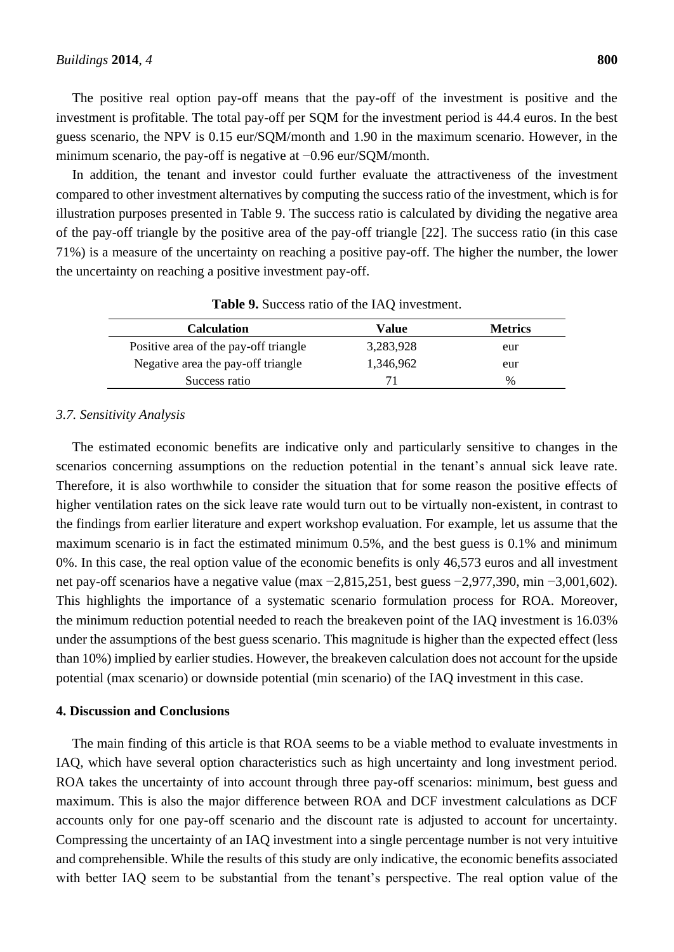The positive real option pay-off means that the pay-off of the investment is positive and the investment is profitable. The total pay-off per SQM for the investment period is 44.4 euros. In the best guess scenario, the NPV is 0.15 eur/SQM/month and 1.90 in the maximum scenario. However, in the minimum scenario, the pay-off is negative at −0.96 eur/SQM/month.

In addition, the tenant and investor could further evaluate the attractiveness of the investment compared to other investment alternatives by computing the success ratio of the investment, which is for illustration purposes presented in Table 9. The success ratio is calculated by dividing the negative area of the pay-off triangle by the positive area of the pay-off triangle [22]. The success ratio (in this case 71%) is a measure of the uncertainty on reaching a positive pay-off. The higher the number, the lower the uncertainty on reaching a positive investment pay-off.

| Value     | <b>Metrics</b> |
|-----------|----------------|
| 3,283,928 | eur            |
| 1.346.962 | eur            |
| 71        | $\frac{0}{0}$  |
|           |                |

| Table 9. Success ratio of the IAQ investment. |  |
|-----------------------------------------------|--|
|-----------------------------------------------|--|

### *3.7. Sensitivity Analysis*

The estimated economic benefits are indicative only and particularly sensitive to changes in the scenarios concerning assumptions on the reduction potential in the tenant's annual sick leave rate. Therefore, it is also worthwhile to consider the situation that for some reason the positive effects of higher ventilation rates on the sick leave rate would turn out to be virtually non-existent, in contrast to the findings from earlier literature and expert workshop evaluation. For example, let us assume that the maximum scenario is in fact the estimated minimum 0.5%, and the best guess is 0.1% and minimum 0%. In this case, the real option value of the economic benefits is only 46,573 euros and all investment net pay-off scenarios have a negative value (max −2,815,251, best guess −2,977,390, min −3,001,602). This highlights the importance of a systematic scenario formulation process for ROA. Moreover, the minimum reduction potential needed to reach the breakeven point of the IAQ investment is 16.03% under the assumptions of the best guess scenario. This magnitude is higher than the expected effect (less than 10%) implied by earlier studies. However, the breakeven calculation does not account for the upside potential (max scenario) or downside potential (min scenario) of the IAQ investment in this case.

#### **4. Discussion and Conclusions**

The main finding of this article is that ROA seems to be a viable method to evaluate investments in IAQ, which have several option characteristics such as high uncertainty and long investment period. ROA takes the uncertainty of into account through three pay-off scenarios: minimum, best guess and maximum. This is also the major difference between ROA and DCF investment calculations as DCF accounts only for one pay-off scenario and the discount rate is adjusted to account for uncertainty. Compressing the uncertainty of an IAQ investment into a single percentage number is not very intuitive and comprehensible. While the results of this study are only indicative, the economic benefits associated with better IAQ seem to be substantial from the tenant's perspective. The real option value of the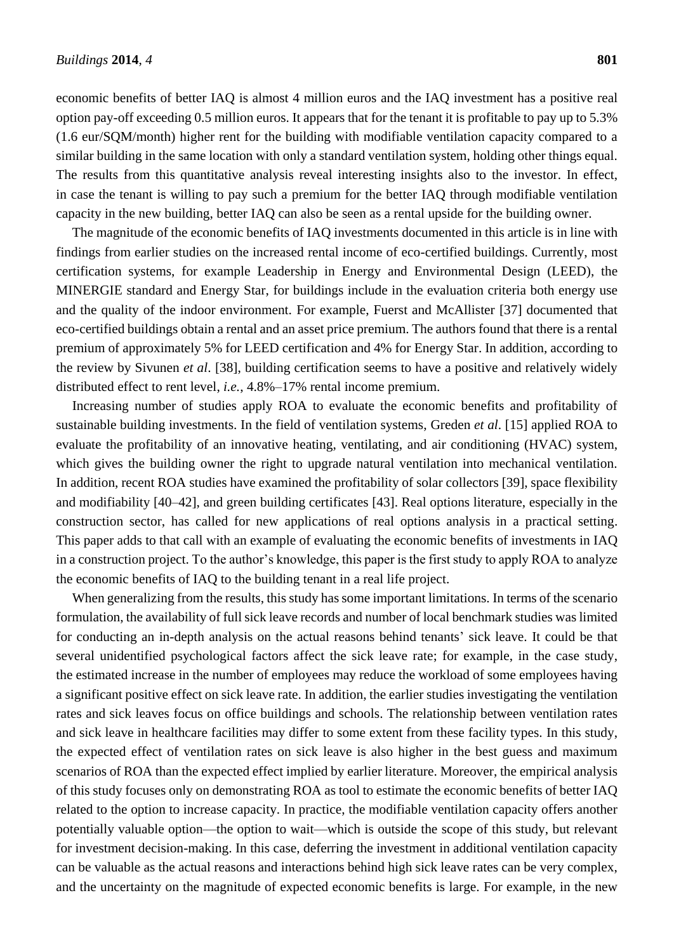economic benefits of better IAQ is almost 4 million euros and the IAQ investment has a positive real option pay-off exceeding 0.5 million euros. It appears that for the tenant it is profitable to pay up to 5.3% (1.6 eur/SQM/month) higher rent for the building with modifiable ventilation capacity compared to a similar building in the same location with only a standard ventilation system, holding other things equal. The results from this quantitative analysis reveal interesting insights also to the investor. In effect, in case the tenant is willing to pay such a premium for the better IAQ through modifiable ventilation capacity in the new building, better IAQ can also be seen as a rental upside for the building owner.

The magnitude of the economic benefits of IAQ investments documented in this article is in line with findings from earlier studies on the increased rental income of eco-certified buildings. Currently, most certification systems, for example Leadership in Energy and Environmental Design (LEED), the MINERGIE standard and Energy Star, for buildings include in the evaluation criteria both energy use and the quality of the indoor environment. For example, Fuerst and McAllister [37] documented that eco-certified buildings obtain a rental and an asset price premium. The authors found that there is a rental premium of approximately 5% for LEED certification and 4% for Energy Star. In addition, according to the review by Sivunen *et al*. [38], building certification seems to have a positive and relatively widely distributed effect to rent level, *i.e.*, 4.8%–17% rental income premium.

Increasing number of studies apply ROA to evaluate the economic benefits and profitability of sustainable building investments. In the field of ventilation systems, Greden *et al*. [15] applied ROA to evaluate the profitability of an innovative heating, ventilating, and air conditioning (HVAC) system, which gives the building owner the right to upgrade natural ventilation into mechanical ventilation. In addition, recent ROA studies have examined the profitability of solar collectors [39], space flexibility and modifiability [40–42], and green building certificates [43]. Real options literature, especially in the construction sector, has called for new applications of real options analysis in a practical setting. This paper adds to that call with an example of evaluating the economic benefits of investments in IAQ in a construction project. To the author's knowledge, this paper is the first study to apply ROA to analyze the economic benefits of IAQ to the building tenant in a real life project.

When generalizing from the results, this study has some important limitations. In terms of the scenario formulation, the availability of full sick leave records and number of local benchmark studies was limited for conducting an in-depth analysis on the actual reasons behind tenants' sick leave. It could be that several unidentified psychological factors affect the sick leave rate; for example, in the case study, the estimated increase in the number of employees may reduce the workload of some employees having a significant positive effect on sick leave rate. In addition, the earlier studies investigating the ventilation rates and sick leaves focus on office buildings and schools. The relationship between ventilation rates and sick leave in healthcare facilities may differ to some extent from these facility types. In this study, the expected effect of ventilation rates on sick leave is also higher in the best guess and maximum scenarios of ROA than the expected effect implied by earlier literature. Moreover, the empirical analysis of this study focuses only on demonstrating ROA as tool to estimate the economic benefits of better IAQ related to the option to increase capacity. In practice, the modifiable ventilation capacity offers another potentially valuable option—the option to wait—which is outside the scope of this study, but relevant for investment decision-making. In this case, deferring the investment in additional ventilation capacity can be valuable as the actual reasons and interactions behind high sick leave rates can be very complex, and the uncertainty on the magnitude of expected economic benefits is large. For example, in the new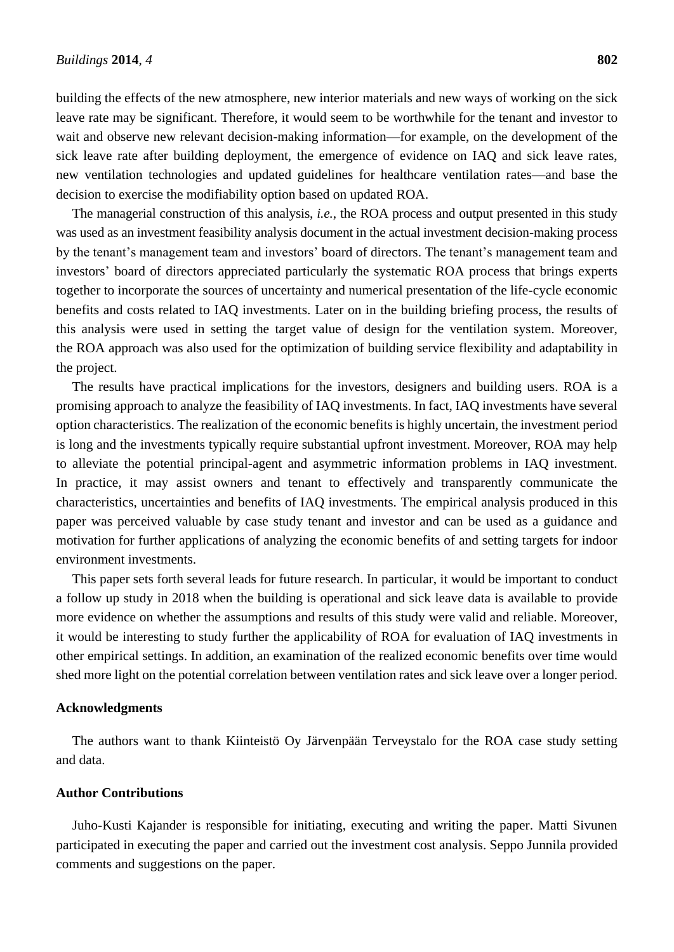building the effects of the new atmosphere, new interior materials and new ways of working on the sick leave rate may be significant. Therefore, it would seem to be worthwhile for the tenant and investor to wait and observe new relevant decision-making information—for example, on the development of the sick leave rate after building deployment, the emergence of evidence on IAQ and sick leave rates, new ventilation technologies and updated guidelines for healthcare ventilation rates—and base the decision to exercise the modifiability option based on updated ROA.

The managerial construction of this analysis, *i.e.*, the ROA process and output presented in this study was used as an investment feasibility analysis document in the actual investment decision-making process by the tenant's management team and investors' board of directors. The tenant's management team and investors' board of directors appreciated particularly the systematic ROA process that brings experts together to incorporate the sources of uncertainty and numerical presentation of the life-cycle economic benefits and costs related to IAQ investments. Later on in the building briefing process, the results of this analysis were used in setting the target value of design for the ventilation system. Moreover, the ROA approach was also used for the optimization of building service flexibility and adaptability in the project.

The results have practical implications for the investors, designers and building users. ROA is a promising approach to analyze the feasibility of IAQ investments. In fact, IAQ investments have several option characteristics. The realization of the economic benefits is highly uncertain, the investment period is long and the investments typically require substantial upfront investment. Moreover, ROA may help to alleviate the potential principal-agent and asymmetric information problems in IAQ investment. In practice, it may assist owners and tenant to effectively and transparently communicate the characteristics, uncertainties and benefits of IAQ investments. The empirical analysis produced in this paper was perceived valuable by case study tenant and investor and can be used as a guidance and motivation for further applications of analyzing the economic benefits of and setting targets for indoor environment investments.

This paper sets forth several leads for future research. In particular, it would be important to conduct a follow up study in 2018 when the building is operational and sick leave data is available to provide more evidence on whether the assumptions and results of this study were valid and reliable. Moreover, it would be interesting to study further the applicability of ROA for evaluation of IAQ investments in other empirical settings. In addition, an examination of the realized economic benefits over time would shed more light on the potential correlation between ventilation rates and sick leave over a longer period.

#### **Acknowledgments**

The authors want to thank Kiinteistö Oy Järvenpään Terveystalo for the ROA case study setting and data.

#### **Author Contributions**

Juho-Kusti Kajander is responsible for initiating, executing and writing the paper. Matti Sivunen participated in executing the paper and carried out the investment cost analysis. Seppo Junnila provided comments and suggestions on the paper.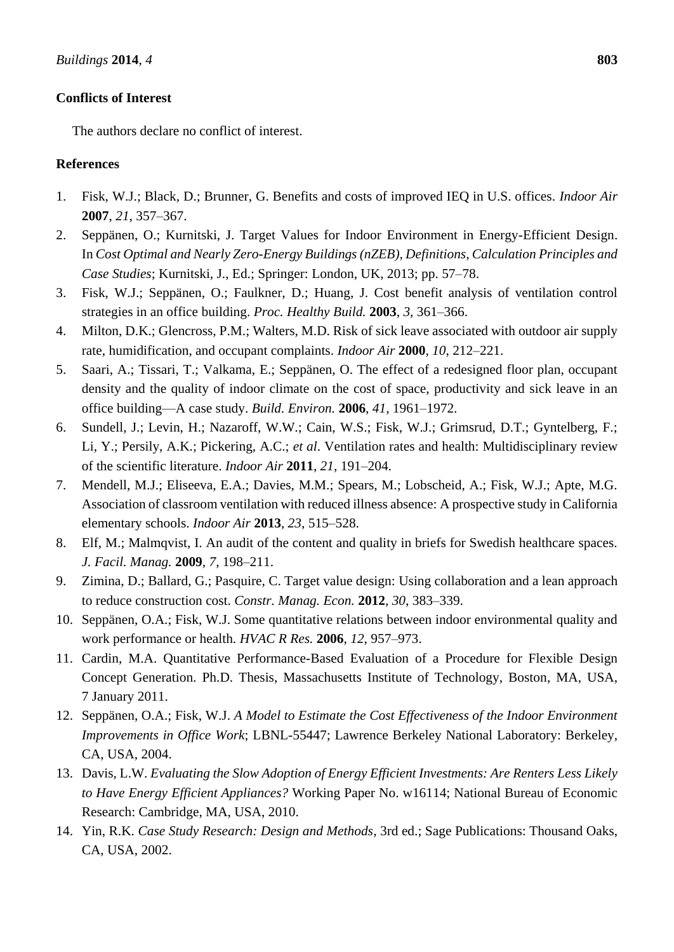# **Conflicts of Interest**

The authors declare no conflict of interest.

# **References**

- 1. Fisk, W.J.; Black, D.; Brunner, G. Benefits and costs of improved IEQ in U.S. offices. *Indoor Air*  **2007**, *21*, 357–367.
- 2. Seppänen, O.; Kurnitski, J. Target Values for Indoor Environment in Energy-Efficient Design. In *Cost Optimal and Nearly Zero-Energy Buildings (nZEB), Definitions, Calculation Principles and Case Studies*; Kurnitski, J., Ed.; Springer: London, UK, 2013; pp. 57–78.
- 3. Fisk, W.J.; Seppänen, O.; Faulkner, D.; Huang, J. Cost benefit analysis of ventilation control strategies in an office building. *Proc. Healthy Build.* **2003**, *3*, 361–366.
- 4. Milton, D.K.; Glencross, P.M.; Walters, M.D. Risk of sick leave associated with outdoor air supply rate, humidification, and occupant complaints. *Indoor Air* **2000**, *10*, 212–221.
- 5. Saari, A.; Tissari, T.; Valkama, E.; Seppänen, O. The effect of a redesigned floor plan, occupant density and the quality of indoor climate on the cost of space, productivity and sick leave in an office building—A case study. *Build. Environ.* **2006**, *41*, 1961–1972.
- 6. Sundell, J.; Levin, H.; Nazaroff, W.W.; Cain, W.S.; Fisk, W.J.; Grimsrud, D.T.; Gyntelberg, F.; Li, Y.; Persily, A.K.; Pickering, A.C.; *et al*. Ventilation rates and health: Multidisciplinary review of the scientific literature. *Indoor Air* **2011**, *21*, 191–204.
- 7. Mendell, M.J.; Eliseeva, E.A.; Davies, M.M.; Spears, M.; Lobscheid, A.; Fisk, W.J.; Apte, M.G. Association of classroom ventilation with reduced illness absence: A prospective study in California elementary schools. *Indoor Air* **2013**, *23*, 515–528.
- 8. Elf, M.; Malmqvist, I. An audit of the content and quality in briefs for Swedish healthcare spaces. *J. Facil. Manag.* **2009**, *7*, 198–211.
- 9. Zimina, D.; Ballard, G.; Pasquire, C. Target value design: Using collaboration and a lean approach to reduce construction cost. *Constr. Manag. Econ.* **2012**, *30*, 383–339.
- 10. Seppänen, O.A.; Fisk, W.J. Some quantitative relations between indoor environmental quality and work performance or health. *HVAC R Res.* **2006**, *12*, 957–973.
- 11. Cardin, M.A. Quantitative Performance-Based Evaluation of a Procedure for Flexible Design Concept Generation. Ph.D. Thesis, Massachusetts Institute of Technology, Boston, MA, USA, 7 January 2011.
- 12. Seppänen, O.A.; Fisk, W.J. *A Model to Estimate the Cost Effectiveness of the Indoor Environment Improvements in Office Work*; LBNL-55447; Lawrence Berkeley National Laboratory: Berkeley, CA, USA, 2004.
- 13. Davis, L.W. *Evaluating the Slow Adoption of Energy Efficient Investments: Are Renters Less Likely to Have Energy Efficient Appliances?* Working Paper No. w16114; National Bureau of Economic Research: Cambridge, MA, USA, 2010.
- 14. Yin, R.K. *Case Study Research: Design and Methods*, 3rd ed.; Sage Publications: Thousand Oaks, CA, USA, 2002.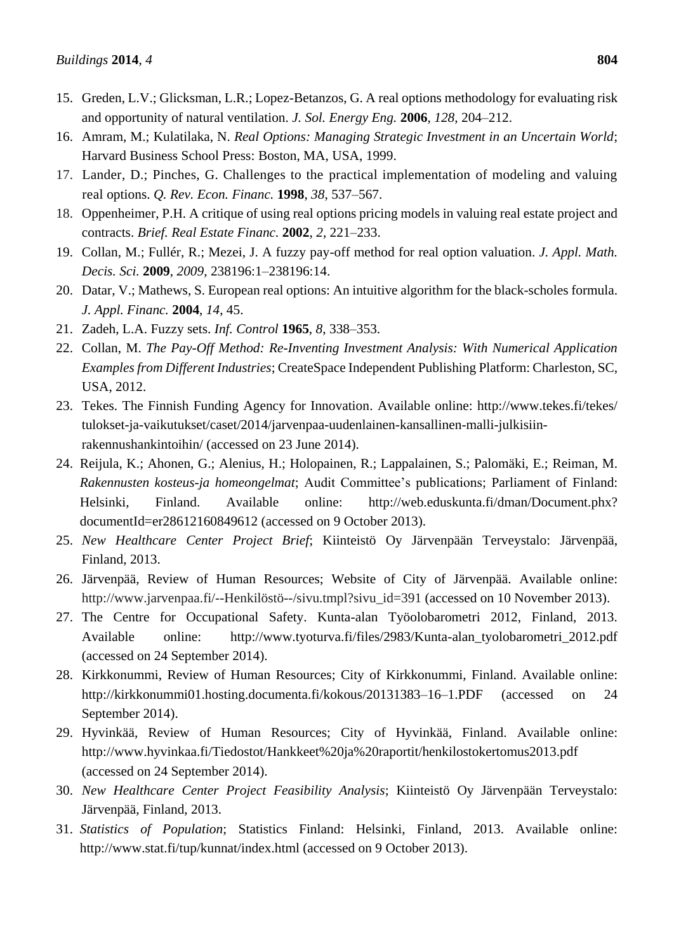- 15. Greden, L.V.; Glicksman, L.R.; Lopez-Betanzos, G. A real options methodology for evaluating risk and opportunity of natural ventilation. *J. Sol. Energy Eng.* **2006**, *128*, 204–212.
- 16. Amram, M.; Kulatilaka, N. *Real Options: Managing Strategic Investment in an Uncertain World*; Harvard Business School Press: Boston, MA, USA, 1999.
- 17. Lander, D.; Pinches, G. Challenges to the practical implementation of modeling and valuing real options. *Q. Rev. Econ. Financ.* **1998**, *38*, 537–567.
- 18. Oppenheimer, P.H. A critique of using real options pricing models in valuing real estate project and contracts. *Brief. Real Estate Financ.* **2002**, *2*, 221–233.
- 19. Collan, M.; Fullér, R.; Mezei, J. A fuzzy pay-off method for real option valuation. *J. Appl. Math. Decis. Sci.* **2009**, *2009*, 238196:1–238196:14.
- 20. Datar, V.; Mathews, S. European real options: An intuitive algorithm for the black-scholes formula. *J. Appl. Financ.* **2004**, *14*, 45.
- 21. Zadeh, L.A. Fuzzy sets. *Inf. Control* **1965**, *8*, 338–353.
- 22. Collan, M. *The Pay-Off Method: Re-Inventing Investment Analysis: With Numerical Application Examples from Different Industries*; CreateSpace Independent Publishing Platform: Charleston, SC, USA, 2012.
- 23. Tekes. The Finnish Funding Agency for Innovation. Available online: http://www.tekes.fi/tekes/ tulokset-ja-vaikutukset/caset/2014/jarvenpaa-uudenlainen-kansallinen-malli-julkisiinrakennushankintoihin/ (accessed on 23 June 2014).
- 24. Reijula, K.; Ahonen, G.; Alenius, H.; Holopainen, R.; Lappalainen, S.; Palomäki, E.; Reiman, M. *Rakennusten kosteus-ja homeongelmat*; Audit Committee's publications; Parliament of Finland: Helsinki, Finland. Available online: http://web.eduskunta.fi/dman/Document.phx? documentId=er28612160849612 (accessed on 9 October 2013).
- 25. *New Healthcare Center Project Brief*; Kiinteistö Oy Järvenpään Terveystalo: Järvenpää, Finland, 2013.
- 26. Järvenpää, Review of Human Resources; Website of City of Järvenpää. Available online: http://www.jarvenpaa.fi/--Henkil öst ö-/sivu.tmpl?sivu\_id=391 (accessed on 10 November 2013).
- 27. The Centre for Occupational Safety. Kunta-alan Työolobarometri 2012, Finland, 2013. Available online: http://www.tyoturva.fi/files/2983/Kunta-alan\_tyolobarometri\_2012.pdf (accessed on 24 September 2014).
- 28. Kirkkonummi, Review of Human Resources; City of Kirkkonummi, Finland. Available online: http://kirkkonummi01.hosting.documenta.fi/kokous/20131383–16–1.PDF (accessed on 24 September 2014).
- 29. Hyvinkää, Review of Human Resources; City of Hyvinkää, Finland. Available online: http://www.hyvinkaa.fi/Tiedostot/Hankkeet%20ja%20raportit/henkilostokertomus2013.pdf (accessed on 24 September 2014).
- 30. *New Healthcare Center Project Feasibility Analysis*; Kiinteistö Oy Järvenpään Terveystalo: Järvenpää, Finland, 2013.
- 31. *Statistics of Population*; Statistics Finland: Helsinki, Finland, 2013. Available online: http://www.stat.fi/tup/kunnat/index.html (accessed on 9 October 2013).